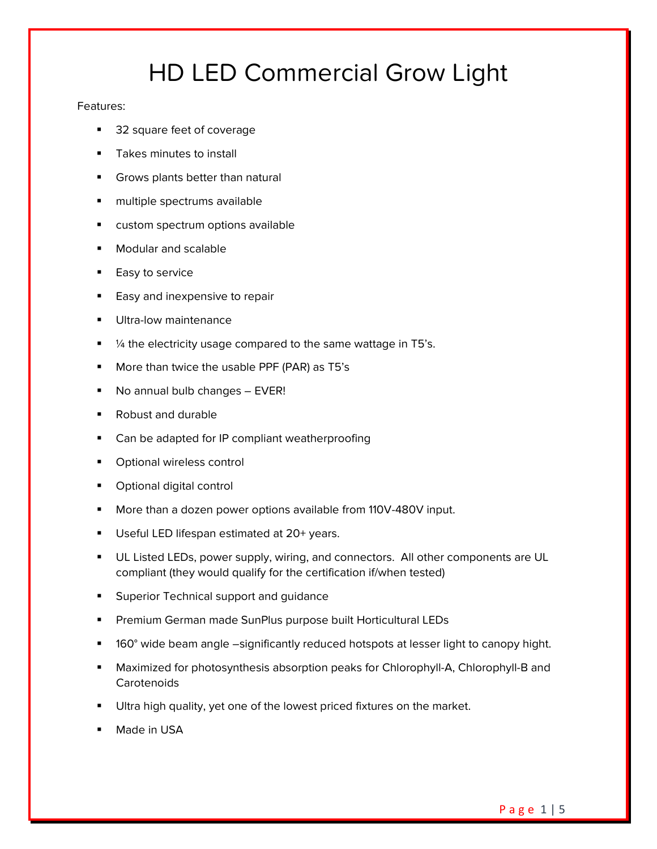# HD LED Commercial Grow Light

#### Features:

- 32 square feet of coverage
- Takes minutes to install
- **Grows plants better than natural**
- multiple spectrums available
- **E** custom spectrum options available
- Modular and scalable
- Easy to service
- Easy and inexpensive to repair
- Ultra-low maintenance
- $\frac{1}{4}$  the electricity usage compared to the same wattage in T5's.
- More than twice the usable PPF (PAR) as T5's
- No annual bulb changes EVER!
- Robust and durable
- Can be adapted for IP compliant weatherproofing
- Optional wireless control
- Optional digital control
- More than a dozen power options available from 110V-480V input.
- Useful LED lifespan estimated at 20+ years.
- **UL Listed LEDs, power supply, wiring, and connectors. All other components are UL** compliant (they would qualify for the certification if/when tested)
- **Superior Technical support and guidance**
- Premium German made SunPlus purpose built Horticultural LEDs
- 160° wide beam angle –significantly reduced hotspots at lesser light to canopy hight.
- Maximized for photosynthesis absorption peaks for Chlorophyll-A, Chlorophyll-B and **Carotenoids**
- Ultra high quality, yet one of the lowest priced fixtures on the market.
- Made in USA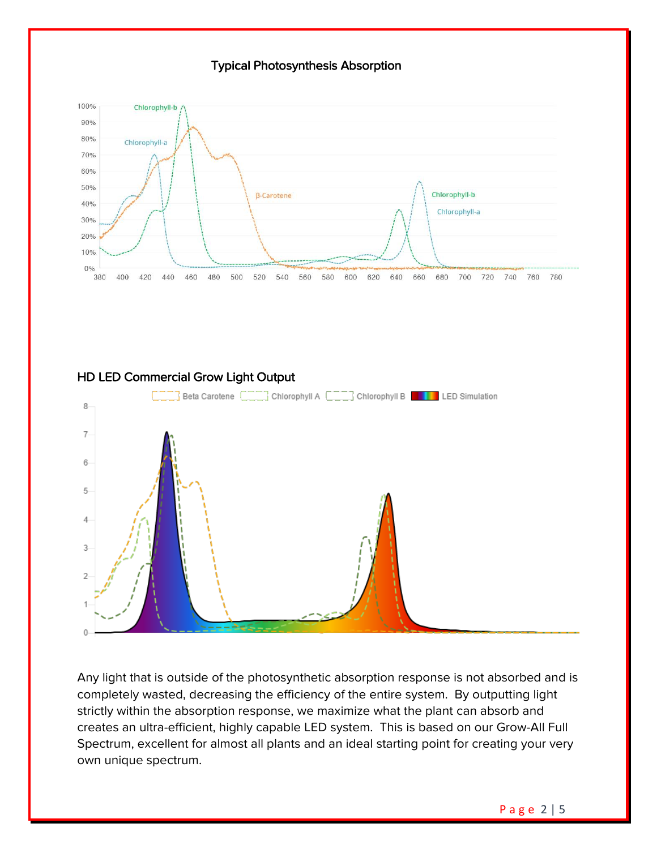# Typical Photosynthesis Absorption



# HD LED Commercial Grow Light Output



Any light that is outside of the photosynthetic absorption response is not absorbed and is completely wasted, decreasing the efficiency of the entire system. By outputting light strictly within the absorption response, we maximize what the plant can absorb and creates an ultra-efficient, highly capable LED system. This is based on our Grow-All Full Spectrum, excellent for almost all plants and an ideal starting point for creating your very own unique spectrum.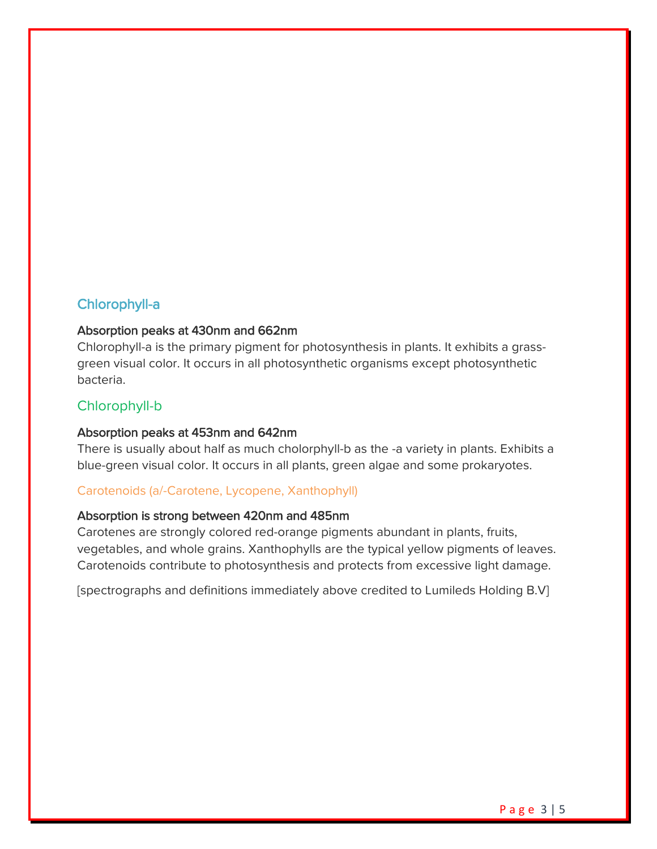# Chlorophyll-a

## Absorption peaks at 430nm and 662nm

Chlorophyll-a is the primary pigment for photosynthesis in plants. It exhibits a grassgreen visual color. It occurs in all photosynthetic organisms except photosynthetic bacteria.

## Chlorophyll-b

#### Absorption peaks at 453nm and 642nm

There is usually about half as much cholorphyll-b as the -a variety in plants. Exhibits a blue-green visual color. It occurs in all plants, green algae and some prokaryotes.

#### Carotenoids (a/-Carotene, Lycopene, Xanthophyll)

#### Absorption is strong between 420nm and 485nm

Carotenes are strongly colored red-orange pigments abundant in plants, fruits, vegetables, and whole grains. Xanthophylls are the typical yellow pigments of leaves. Carotenoids contribute to photosynthesis and protects from excessive light damage.

[spectrographs and definitions immediately above credited to Lumileds Holding B.V]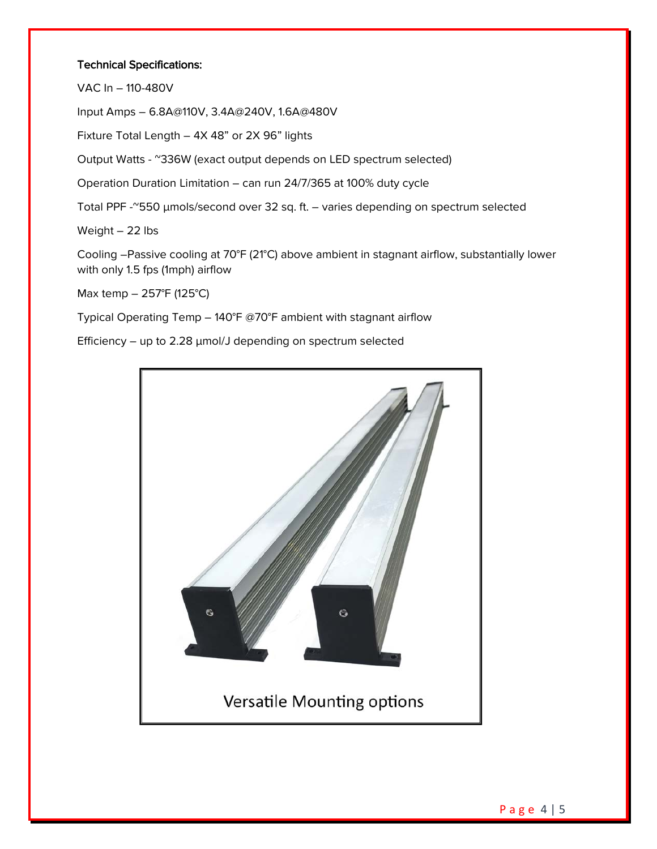### Technical Specifications:

VAC In – 110-480V

Input Amps – 6.8A@110V, 3.4A@240V, 1.6A@480V

Fixture Total Length – 4X 48" or 2X 96" lights

Output Watts - ~336W (exact output depends on LED spectrum selected)

Operation Duration Limitation – can run 24/7/365 at 100% duty cycle

Total PPF -~550 µmols/second over 32 sq. ft. – varies depending on spectrum selected

Weight – 22 lbs

Cooling –Passive cooling at 70°F (21°C) above ambient in stagnant airflow, substantially lower with only 1.5 fps (1mph) airflow

Max temp – 257°F (125°C)

Typical Operating Temp – 140°F @70°F ambient with stagnant airflow

Efficiency – up to 2.28  $\mu$ mol/J depending on spectrum selected